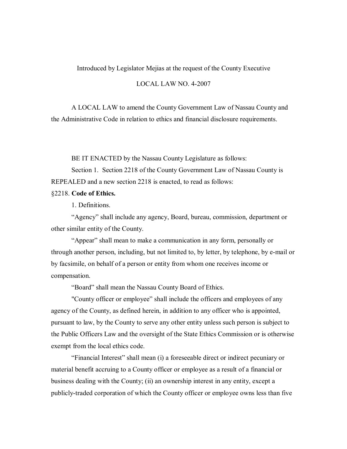## Introduced by Legislator Mejias at the request of the County Executive

## LOCAL LAW NO. 4-2007

A LOCAL LAW to amend the County Government Law of Nassau County and the Administrative Code in relation to ethics and financial disclosure requirements.

BE IT ENACTED by the Nassau County Legislature as follows:

Section 1. Section 2218 of the County Government Law of Nassau County is REPEALED and a new section 2218 is enacted, to read as follows:

## §2218. **Code of Ethics.**

1. Definitions.

"Agency" shall include any agency, Board, bureau, commission, department or other similar entity of the County.

"Appear" shall mean to make a communication in any form, personally or through another person, including, but not limited to, by letter, by telephone, by e-mail or by facsimile, on behalf of a person or entity from whom one receives income or compensation.

"Board" shall mean the Nassau County Board of Ethics.

"County officer or employee" shall include the officers and employees of any agency of the County, as defined herein, in addition to any officer who is appointed, pursuant to law, by the County to serve any other entity unless such person is subject to the Public Officers Law and the oversight of the State Ethics Commission or is otherwise exempt from the local ethics code.

"Financial Interest" shall mean (i) a foreseeable direct or indirect pecuniary or material benefit accruing to a County officer or employee as a result of a financial or business dealing with the County; (ii) an ownership interest in any entity, except a publicly-traded corporation of which the County officer or employee owns less than five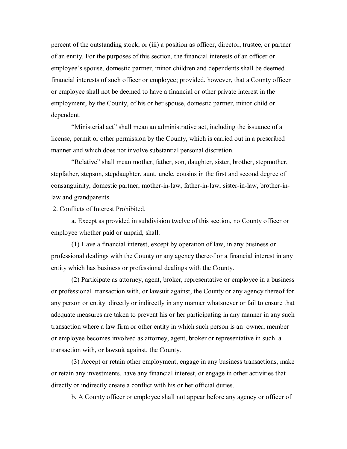percent of the outstanding stock; or (iii) a position as officer, director, trustee, or partner of an entity. For the purposes of this section, the financial interests of an officer or employee's spouse, domestic partner, minor children and dependents shall be deemed financial interests of such officer or employee; provided, however, that a County officer or employee shall not be deemed to have a financial or other private interest in the employment, by the County, of his or her spouse, domestic partner, minor child or dependent.

"Ministerial act" shall mean an administrative act, including the issuance of a license, permit or other permission by the County, which is carried out in a prescribed manner and which does not involve substantial personal discretion.

"Relative" shall mean mother, father, son, daughter, sister, brother, stepmother, stepfather, stepson, stepdaughter, aunt, uncle, cousins in the first and second degree of consanguinity, domestic partner, mother-in-law, father-in-law, sister-in-law, brother-inlaw and grandparents.

2. Conflicts of Interest Prohibited.

a. Except as provided in subdivision twelve of this section, no County officer or employee whether paid or unpaid, shall:

(1) Have a financial interest, except by operation of law, in any business or professional dealings with the County or any agency thereof or a financial interest in any entity which has business or professional dealings with the County.

(2) Participate as attorney, agent, broker, representative or employee in a business or professional transaction with, or lawsuit against, the County or any agency thereof for any person or entity directly or indirectly in any manner whatsoever or fail to ensure that adequate measures are taken to prevent his or her participating in any manner in any such transaction where a law firm or other entity in which such person is an owner, member or employee becomes involved as attorney, agent, broker or representative in such a transaction with, or lawsuit against, the County.

(3) Accept or retain other employment, engage in any business transactions, make or retain any investments, have any financial interest, or engage in other activities that directly or indirectly create a conflict with his or her official duties.

b. A County officer or employee shall not appear before any agency or officer of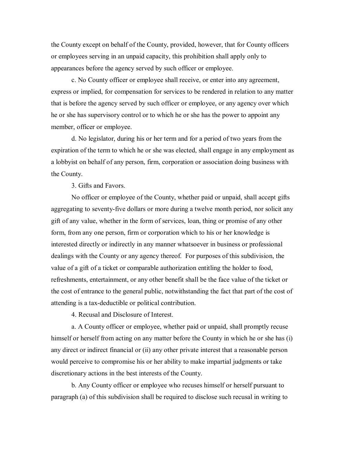the County except on behalf of the County, provided, however, that for County officers or employees serving in an unpaid capacity, this prohibition shall apply only to appearances before the agency served by such officer or employee.

c. No County officer or employee shall receive, or enter into any agreement, express or implied, for compensation for services to be rendered in relation to any matter that is before the agency served by such officer or employee, or any agency over which he or she has supervisory control or to which he or she has the power to appoint any member, officer or employee.

d. No legislator, during his or her term and for a period of two years from the expiration of the term to which he or she was elected, shall engage in any employment as a lobbyist on behalf of any person, firm, corporation or association doing business with the County.

3. Gifts and Favors.

No officer or employee of the County, whether paid or unpaid, shall accept gifts aggregating to seventy-five dollars or more during a twelve month period, nor solicit any gift of any value, whether in the form of services, loan, thing or promise of any other form, from any one person, firm or corporation which to his or her knowledge is interested directly or indirectly in any manner whatsoever in business or professional dealings with the County or any agency thereof. For purposes of this subdivision, the value of a gift of a ticket or comparable authorization entitling the holder to food, refreshments, entertainment, or any other benefit shall be the face value of the ticket or the cost of entrance to the general public, notwithstanding the fact that part of the cost of attending is a tax-deductible or political contribution.

4. Recusal and Disclosure of Interest.

a. A County officer or employee, whether paid or unpaid, shall promptly recuse himself or herself from acting on any matter before the County in which he or she has (i) any direct or indirect financial or (ii) any other private interest that a reasonable person would perceive to compromise his or her ability to make impartial judgments or take discretionary actions in the best interests of the County.

b. Any County officer or employee who recuses himself or herself pursuant to paragraph (a) of this subdivision shall be required to disclose such recusal in writing to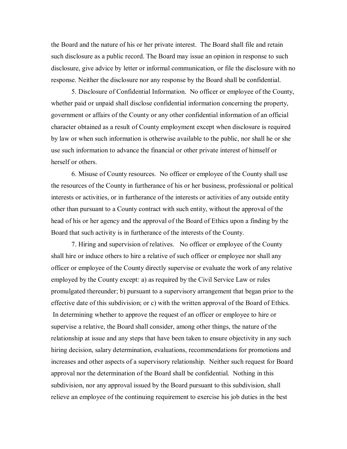the Board and the nature of his or her private interest. The Board shall file and retain such disclosure as a public record. The Board may issue an opinion in response to such disclosure, give advice by letter or informal communication, or file the disclosure with no response. Neither the disclosure nor any response by the Board shall be confidential.

5. Disclosure of Confidential Information. No officer or employee of the County, whether paid or unpaid shall disclose confidential information concerning the property, government or affairs of the County or any other confidential information of an official character obtained as a result of County employment except when disclosure is required by law or when such information is otherwise available to the public, nor shall he or she use such information to advance the financial or other private interest of himself or herself or others.

6. Misuse of County resources. No officer or employee of the County shall use the resources of the County in furtherance of his or her business, professional or political interests or activities, or in furtherance of the interests or activities of any outside entity other than pursuant to a County contract with such entity, without the approval of the head of his or her agency and the approval of the Board of Ethics upon a finding by the Board that such activity is in furtherance of the interests of the County.

7. Hiring and supervision of relatives. No officer or employee of the County shall hire or induce others to hire a relative of such officer or employee nor shall any officer or employee of the County directly supervise or evaluate the work of any relative employed by the County except: a) as required by the Civil Service Law or rules promulgated thereunder; b) pursuant to a supervisory arrangement that began prior to the effective date of this subdivision; or c) with the written approval of the Board of Ethics. In determining whether to approve the request of an officer or employee to hire or supervise a relative, the Board shall consider, among other things, the nature of the relationship at issue and any steps that have been taken to ensure objectivity in any such hiring decision, salary determination, evaluations, recommendations for promotions and increases and other aspects of a supervisory relationship. Neither such request for Board approval nor the determination of the Board shall be confidential. Nothing in this subdivision, nor any approval issued by the Board pursuant to this subdivision, shall relieve an employee of the continuing requirement to exercise his job duties in the best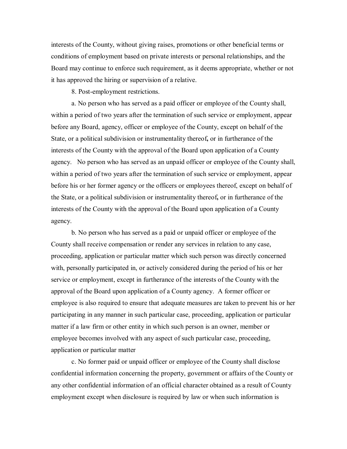interests of the County, without giving raises, promotions or other beneficial terms or conditions of employment based on private interests or personal relationships, and the Board may continue to enforce such requirement, as it deems appropriate, whether or not it has approved the hiring or supervision of a relative.

8. Post-employment restrictions.

a. No person who has served as a paid officer or employee of the County shall, within a period of two years after the termination of such service or employment, appear before any Board, agency, officer or employee of the County, except on behalf of the State, or a political subdivision or instrumentality thereof**,** or in furtherance of the interests of the County with the approval of the Board upon application of a County agency. No person who has served as an unpaid officer or employee of the County shall, within a period of two years after the termination of such service or employment, appear before his or her former agency or the officers or employees thereof, except on behalf of the State, or a political subdivision or instrumentality thereof**,** or in furtherance of the interests of the County with the approval of the Board upon application of a County agency.

b. No person who has served as a paid or unpaid officer or employee of the County shall receive compensation or render any services in relation to any case, proceeding, application or particular matter which such person was directly concerned with, personally participated in, or actively considered during the period of his or her service or employment, except in furtherance of the interests of the County with the approval of the Board upon application of a County agency. A former officer or employee is also required to ensure that adequate measures are taken to prevent his or her participating in any manner in such particular case, proceeding, application or particular matter if a law firm or other entity in which such person is an owner, member or employee becomes involved with any aspect of such particular case, proceeding, application or particular matter

c. No former paid or unpaid officer or employee of the County shall disclose confidential information concerning the property, government or affairs of the County or any other confidential information of an official character obtained as a result of County employment except when disclosure is required by law or when such information is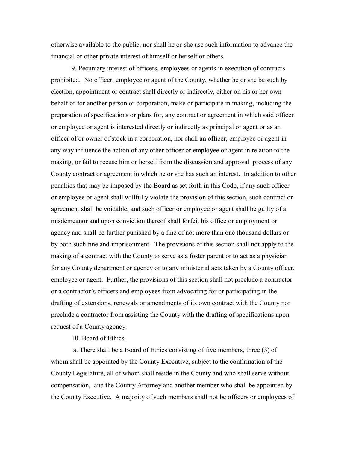otherwise available to the public, nor shall he or she use such information to advance the financial or other private interest of himself or herself or others.

9. Pecuniary interest of officers, employees or agents in execution of contracts prohibited. No officer, employee or agent of the County, whether he or she be such by election, appointment or contract shall directly or indirectly, either on his or her own behalf or for another person or corporation, make or participate in making, including the preparation of specifications or plans for, any contract or agreement in which said officer or employee or agent is interested directly or indirectly as principal or agent or as an officer of or owner of stock in a corporation, nor shall an officer, employee or agent in any way influence the action of any other officer or employee or agent in relation to the making, or fail to recuse him or herself from the discussion and approval process of any County contract or agreement in which he or she has such an interest. In addition to other penalties that may be imposed by the Board as set forth in this Code, if any such officer or employee or agent shall willfully violate the provision of this section, such contract or agreement shall be voidable, and such officer or employee or agent shall be guilty of a misdemeanor and upon conviction thereof shall forfeit his office or employment or agency and shall be further punished by a fine of not more than one thousand dollars or by both such fine and imprisonment. The provisions of this section shall not apply to the making of a contract with the County to serve as a foster parent or to act as a physician for any County department or agency or to any ministerial acts taken by a County officer, employee or agent. Further, the provisions of this section shall not preclude a contractor or a contractor's officers and employees from advocating for or participating in the drafting of extensions, renewals or amendments of its own contract with the County nor preclude a contractor from assisting the County with the drafting of specifications upon request of a County agency.

10. Board of Ethics.

a. There shall be a Board of Ethics consisting of five members, three (3) of whom shall be appointed by the County Executive, subject to the confirmation of the County Legislature, all of whom shall reside in the County and who shall serve without compensation, and the County Attorney and another member who shall be appointed by the County Executive. A majority of such members shall not be officers or employees of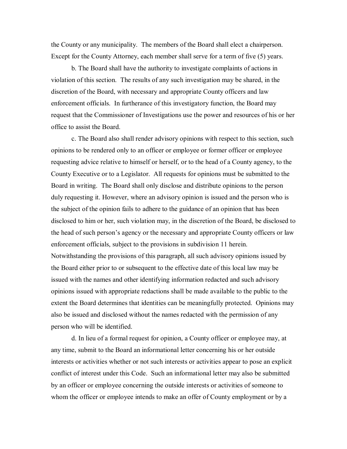the County or any municipality. The members of the Board shall elect a chairperson. Except for the County Attorney, each member shall serve for a term of five (5) years.

b. The Board shall have the authority to investigate complaints of actions in violation of this section. The results of any such investigation may be shared, in the discretion of the Board, with necessary and appropriate County officers and law enforcement officials. In furtherance of this investigatory function, the Board may request that the Commissioner of Investigations use the power and resources of his or her office to assist the Board.

c. The Board also shall render advisory opinions with respect to this section, such opinions to be rendered only to an officer or employee or former officer or employee requesting advice relative to himself or herself, or to the head of a County agency, to the County Executive or to a Legislator. All requests for opinions must be submitted to the Board in writing. The Board shall only disclose and distribute opinions to the person duly requesting it. However, where an advisory opinion is issued and the person who is the subject of the opinion fails to adhere to the guidance of an opinion that has been disclosed to him or her, such violation may, in the discretion of the Board, be disclosed to the head of such person's agency or the necessary and appropriate County officers or law enforcement officials, subject to the provisions in subdivision 11 herein. Notwithstanding the provisions of this paragraph, all such advisory opinions issued by the Board either prior to or subsequent to the effective date of this local law may be issued with the names and other identifying information redacted and such advisory opinions issued with appropriate redactions shall be made available to the public to the extent the Board determines that identities can be meaningfully protected. Opinions may also be issued and disclosed without the names redacted with the permission of any person who will be identified.

d. In lieu of a formal request for opinion, a County officer or employee may, at any time, submit to the Board an informational letter concerning his or her outside interests or activities whether or not such interests or activities appear to pose an explicit conflict of interest under this Code. Such an informational letter may also be submitted by an officer or employee concerning the outside interests or activities of someone to whom the officer or employee intends to make an offer of County employment or by a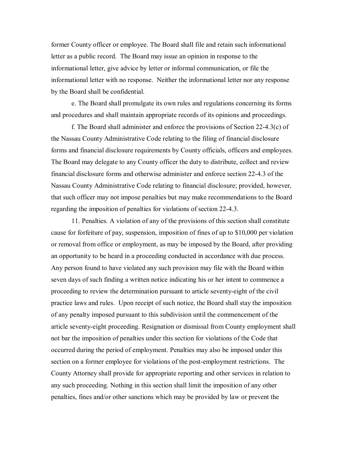former County officer or employee. The Board shall file and retain such informational letter as a public record. The Board may issue an opinion in response to the informational letter, give advice by letter or informal communication, or file the informational letter with no response. Neither the informational letter nor any response by the Board shall be confidential.

e. The Board shall promulgate its own rules and regulations concerning its forms and procedures and shall maintain appropriate records of its opinions and proceedings.

f. The Board shall administer and enforce the provisions of Section  $22-4.3(c)$  of the Nassau County Administrative Code relating to the filing of financial disclosure forms and financial disclosure requirements by County officials, officers and employees. The Board may delegate to any County officer the duty to distribute, collect and review financial disclosure forms and otherwise administer and enforce section 22-4.3 of the Nassau County Administrative Code relating to financial disclosure; provided, however, that such officer may not impose penalties but may make recommendations to the Board regarding the imposition of penalties for violations of section 22-4.3.

11. Penalties. A violation of any of the provisions of this section shall constitute cause for forfeiture of pay, suspension, imposition of fines of up to \$10,000 per violation or removal from office or employment, as may be imposed by the Board, after providing an opportunity to be heard in a proceeding conducted in accordance with due process. Any person found to have violated any such provision may file with the Board within seven days of such finding a written notice indicating his or her intent to commence a proceeding to review the determination pursuant to article seventy-eight of the civil practice laws and rules. Upon receipt of such notice, the Board shall stay the imposition of any penalty imposed pursuant to this subdivision until the commencement of the article seventy-eight proceeding. Resignation or dismissal from County employment shall not bar the imposition of penalties under this section for violations of the Code that occurred during the period of employment. Penalties may also be imposed under this section on a former employee for violations of the post-employment restrictions. The County Attorney shall provide for appropriate reporting and other services in relation to any such proceeding. Nothing in this section shall limit the imposition of any other penalties, fines and/or other sanctions which may be provided by law or prevent the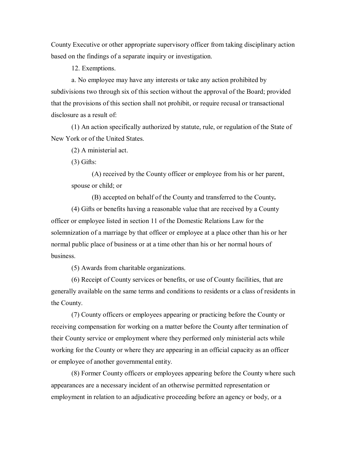County Executive or other appropriate supervisory officer from taking disciplinary action based on the findings of a separate inquiry or investigation.

12. Exemptions.

a. No employee may have any interests or take any action prohibited by subdivisions two through six of this section without the approval of the Board; provided that the provisions of this section shall not prohibit, or require recusal or transactional disclosure as a result of:

(1) An action specifically authorized by statute, rule, or regulation of the State of New York or of the United States.

(2) A ministerial act.

(3) Gifts:

(A) received by the County officer or employee from his or her parent, spouse or child; or

(B) accepted on behalf of the County and transferred to the County**.**

(4) Gifts or benefits having a reasonable value that are received by a County officer or employee listed in section 11 of the Domestic Relations Law for the solemnization of a marriage by that officer or employee at a place other than his or her normal public place of business or at a time other than his or her normal hours of business.

(5) Awards from charitable organizations.

(6) Receipt of County services or benefits, or use of County facilities, that are generally available on the same terms and conditions to residents or a class of residents in the County.

(7) County officers or employees appearing or practicing before the County or receiving compensation for working on a matter before the County after termination of their County service or employment where they performed only ministerial acts while working for the County or where they are appearing in an official capacity as an officer or employee of another governmental entity.

(8) Former County officers or employees appearing before the County where such appearances are a necessary incident of an otherwise permitted representation or employment in relation to an adjudicative proceeding before an agency or body, or a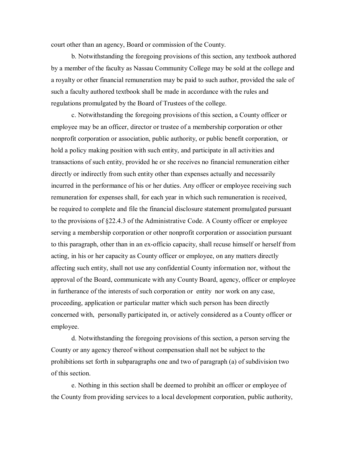court other than an agency, Board or commission of the County.

b. Notwithstanding the foregoing provisions of this section, any textbook authored by a member of the faculty as Nassau Community College may be sold at the college and a royalty or other financial remuneration may be paid to such author, provided the sale of such a faculty authored textbook shall be made in accordance with the rules and regulations promulgated by the Board of Trustees of the college.

c. Notwithstanding the foregoing provisions of this section, a County officer or employee may be an officer, director or trustee of a membership corporation or other nonprofit corporation or association, public authority, or public benefit corporation, or hold a policy making position with such entity, and participate in all activities and transactions of such entity, provided he or she receives no financial remuneration either directly or indirectly from such entity other than expenses actually and necessarily incurred in the performance of his or her duties. Any officer or employee receiving such remuneration for expenses shall, for each year in which such remuneration is received, be required to complete and file the financial disclosure statement promulgated pursuant to the provisions of §22.4.3 of the Administrative Code. A County officer or employee serving a membership corporation or other nonprofit corporation or association pursuant to this paragraph, other than in an ex-officio capacity, shall recuse himself or herself from acting, in his or her capacity as County officer or employee, on any matters directly affecting such entity, shall not use any confidential County information nor, without the approval of the Board, communicate with any County Board, agency, officer or employee in furtherance of the interests of such corporation or entity nor work on any case, proceeding, application or particular matter which such person has been directly concerned with, personally participated in, or actively considered as a County officer or employee.

d. Notwithstanding the foregoing provisions of this section, a person serving the County or any agency thereof without compensation shall not be subject to the prohibitions set forth in subparagraphs one and two of paragraph (a) of subdivision two of this section.

e. Nothing in this section shall be deemed to prohibit an officer or employee of the County from providing services to a local development corporation, public authority,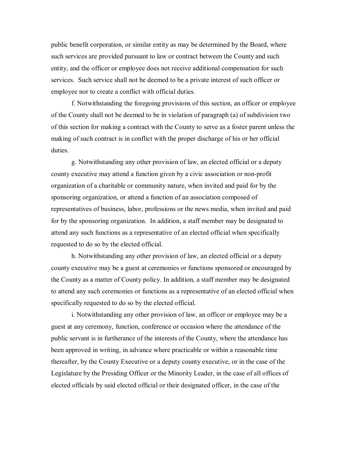public benefit corporation, or similar entity as may be determined by the Board, where such services are provided pursuant to law or contract between the County and such entity, and the officer or employee does not receive additional compensation for such services. Such service shall not be deemed to be a private interest of such officer or employee nor to create a conflict with official duties.

f. Notwithstanding the foregoing provisions of this section, an officer or employee of the County shall not be deemed to be in violation of paragraph (a) of subdivision two of this section for making a contract with the County to serve as a foster parent unless the making of such contract is in conflict with the proper discharge of his or her official duties.

g. Notwithstanding any other provision of law, an elected official or a deputy county executive may attend a function given by a civic association or non-profit organization of a charitable or community nature, when invited and paid for by the sponsoring organization, or attend a function of an association composed of representatives of business, labor, professions or the news media, when invited and paid for by the sponsoring organization. In addition, a staff member may be designated to attend any such functions as a representative of an elected official when specifically requested to do so by the elected official.

h. Notwithstanding any other provision of law, an elected official or a deputy county executive may be a guest at ceremonies or functions sponsored or encouraged by the County as a matter of County policy. In addition, a staff member may be designated to attend any such ceremonies or functions as a representative of an elected official when specifically requested to do so by the elected official.

i. Notwithstanding any other provision of law, an officer or employee may be a guest at any ceremony, function, conference or occasion where the attendance of the public servant is in furtherance of the interests of the County, where the attendance has been approved in writing, in advance where practicable or within a reasonable time thereafter, by the County Executive or a deputy county executive, or in the case of the Legislature by the Presiding Officer or the Minority Leader, in the case of all offices of elected officials by said elected official or their designated officer, in the case of the